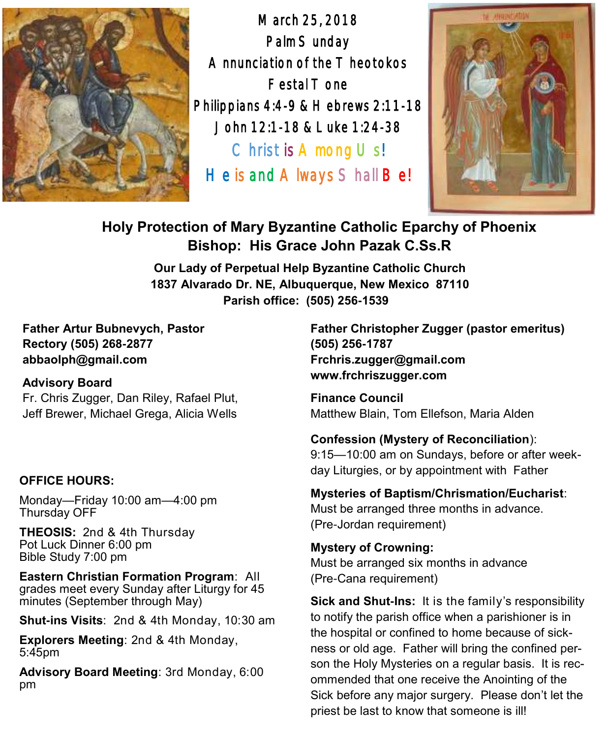

March 25, 2018 Palm Sunday A nnunciation of the T heotokos Festal Tone Philippians 4:4-9 & Hebrews 2:11-18 John 12:1-18 & Luke 1:24-38 Christ is Among Us! He is and A lways S hall **Be!** 



# **Holy Protection of Mary Byzantine Catholic Eparchy of Phoenix Bishop: His Grace John Pazak C.Ss.R**

**Our Lady of Perpetual Help Byzantine Catholic Church 1837 Alvarado Dr. NE, Albuquerque, New Mexico 87110 Parish office: (505) 256-1539**

**Father Artur Bubnevych, Pastor Rectory (505) 268-2877 abbaolph@gmail.com** 

## **Advisory Board**

Fr. Chris Zugger, Dan Riley, Rafael Plut, Jeff Brewer, Michael Grega, Alicia Wells

### **OFFICE HOURS:**

Monday—Friday 10:00 am—4:00 pm Thursday OFF

**THEOSIS:** 2nd & 4th Thursday Pot Luck Dinner 6:00 pm Bible Study 7:00 pm

**Eastern Christian Formation Program**: All grades meet every Sunday after Liturgy for 45 minutes (September through May)

**Shut-ins Visits**: 2nd & 4th Monday, 10:30 am

**Explorers Meeting**: 2nd & 4th Monday, 5:45pm

**Advisory Board Meeting**: 3rd Monday, 6:00 pm

**Father Christopher Zugger (pastor emeritus) (505) 256-1787 Frchris.zugger@gmail.com www.frchriszugger.com** 

**Finance Council**  Matthew Blain, Tom Ellefson, Maria Alden

**Confession (Mystery of Reconciliation**): 9:15—10:00 am on Sundays, before or after weekday Liturgies, or by appointment with Father

**Mysteries of Baptism/Chrismation/Eucharist**: Must be arranged three months in advance. (Pre-Jordan requirement)

**Mystery of Crowning:**  Must be arranged six months in advance (Pre-Cana requirement)

**Sick and Shut-Ins:** It is the family's responsibility to notify the parish office when a parishioner is in the hospital or confined to home because of sickness or old age. Father will bring the confined person the Holy Mysteries on a regular basis. It is recommended that one receive the Anointing of the Sick before any major surgery. Please don't let the priest be last to know that someone is ill!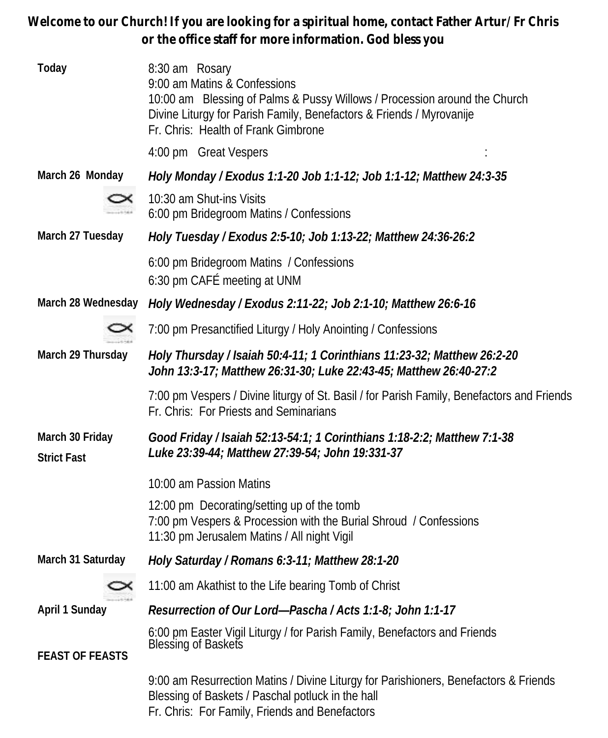**Welcome to our Church! If you are looking for a spiritual home, contact Father Artur/Fr Chris or the office staff for more information. God bless you**

| Today           | 8:30 am Rosary<br>9:00 am Matins & Confessions<br>10:00 am Blessing of Palms & Pussy Willows / Procession around the Church<br>Divine Liturgy for Parish Family, Benefactors & Friends / Myrovanije<br>Fr. Chris: Health of Frank Gimbrone |  |
|-----------------|--------------------------------------------------------------------------------------------------------------------------------------------------------------------------------------------------------------------------------------------|--|
|                 | 4:00 pm Great Vespers                                                                                                                                                                                                                      |  |
| March 26 Monday | Holy Monday / Exodus 1:1-20 Job 1:1-12; Job 1:1-12; Matthew 24:3-35                                                                                                                                                                        |  |



10:30 am Shut-ins Visits 6:00 pm Bridegroom Matins / Confessions

**March 27 Tuesday** *Holy Tuesday / Exodus 2:5-10; Job 1:13-22; Matthew 24:36-26:2*

6:00 pm Bridegroom Matins / Confessions 6:30 pm CAFÉ meeting at UNM

**March 28 Wednesday** *Holy Wednesday / Exodus 2:11-22; Job 2:1-10; Matthew 26:6-16*



7:00 pm Presanctified Liturgy / Holy Anointing / Confessions

**March 29 Thursday** *Holy Thursday / Isaiah 50:4-11; 1 Corinthians 11:23-32; Matthew 26:2-20 John 13:3-17; Matthew 26:31-30; Luke 22:43-45; Matthew 26:40-27:2*

> 7:00 pm Vespers / Divine liturgy of St. Basil / for Parish Family, Benefactors and Friends Fr. Chris: For Priests and Seminarians

**March 30 Friday Strict Fast**  *Good Friday / Isaiah 52:13-54:1; 1 Corinthians 1:18-2:2; Matthew 7:1-38 Luke 23:39-44; Matthew 27:39-54; John 19:331-37*

10:00 am Passion Matins

12:00 pm Decorating/setting up of the tomb 7:00 pm Vespers & Procession with the Burial Shroud / Confessions 11:30 pm Jerusalem Matins / All night Vigil

**March 31 Saturday** *Holy Saturday / Romans 6:3-11; Matthew 28:1-20*

11:00 am Akathist to the Life bearing Tomb of Christ

**April 1 Sunday** *Resurrection of Our Lord—Pascha / Acts 1:1-8; John 1:1-17*

**FEAST OF FEASTS**

6:00 pm Easter Vigil Liturgy / for Parish Family, Benefactors and Friends Blessing of Baskets

9:00 am Resurrection Matins / Divine Liturgy for Parishioners, Benefactors & Friends Blessing of Baskets / Paschal potluck in the hall Fr. Chris: For Family, Friends and Benefactors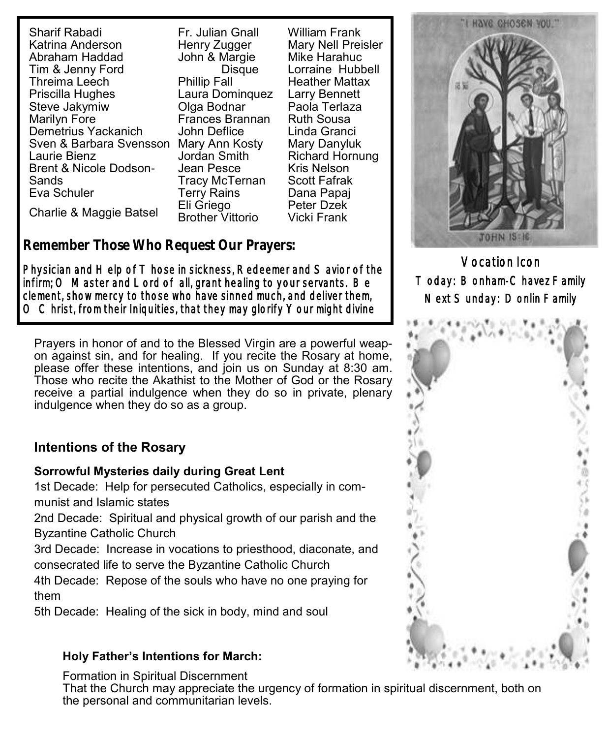Sharif Rabadi Katrina Anderson Abraham Haddad Tim & Jenny Ford Threima Leech Priscilla Hughes Steve Jakymiw Marilyn Fore Demetrius Yackanich Sven & Barbara Svensson Mary Ann Kosty Laurie Bienz Brent & Nicole Dodson-**Sands** Eva Schuler

Charlie & Maggie Batsel

Fr. Julian Gnall Henry Zugger John & Margie Disque Phillip Fall Laura Dominquez Olga Bodnar Frances Brannan John Deflice Jordan Smith Jean Pesce Tracy McTernan Terry Rains Eli Griego Brother Vittorio

William Frank Mary Nell Preisler Mike Harahuc Lorraine Hubbell Heather Mattax Larry Bennett Paola Terlaza Ruth Sousa Linda Granci Mary Danyluk Richard Hornung Kris Nelson Scott Fafrak Dana Papaj Peter Dzek Vicki Frank

**Remember Those Who Request Our Prayers:**

Physician and Help of T hose in sickness, Redeemer and S avior of the infirm; O Master and Lord of all, grant healing to your servants. Be clement, show mercy to those who have sinned much, and deliver them,  $\circ$  Christ, from their Iniquities, that they may glorify Your might divine

Prayers in honor of and to the Blessed Virgin are a powerful weapon against sin, and for healing. If you recite the Rosary at home, please offer these intentions, and join us on Sunday at 8:30 am. Those who recite the Akathist to the Mother of God or the Rosary receive a partial indulgence when they do so in private, plenary indulgence when they do so as a group.

## **Intentions of the Rosary**

### **Sorrowful Mysteries daily during Great Lent**

1st Decade: Help for persecuted Catholics, especially in communist and Islamic states

2nd Decade: Spiritual and physical growth of our parish and the Byzantine Catholic Church

3rd Decade: Increase in vocations to priesthood, diaconate, and consecrated life to serve the Byzantine Catholic Church

4th Decade: Repose of the souls who have no one praying for them

5th Decade: Healing of the sick in body, mind and soul

### **Holy Father's Intentions for March:**

Formation in Spiritual Discernment

That the Church may appreciate the urgency of formation in spiritual discernment, both on the personal and communitarian levels.



Vocation Icon Today: Bonham-Chavez Family Next Sunday: Donlin Family

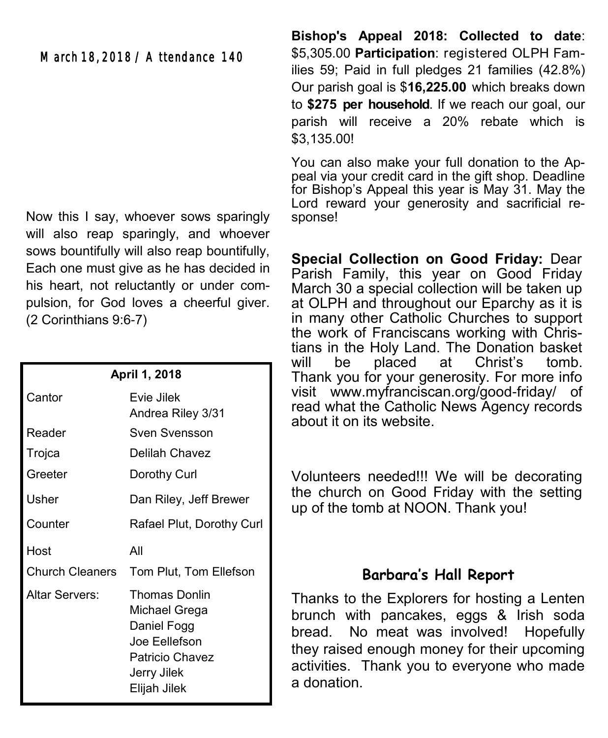### March 18, 2018 / A ttendance 140

Now this I say, whoever sows sparingly will also reap sparingly, and whoever sows bountifully will also reap bountifully, Each one must give as he has decided in his heart, not reluctantly or under compulsion, for God loves a cheerful giver. (2 Corinthians 9:6-7)

| April 1, 2018          |                                                                                                                                |  |  |
|------------------------|--------------------------------------------------------------------------------------------------------------------------------|--|--|
| Cantor                 | Evie Jilek<br>Andrea Riley 3/31                                                                                                |  |  |
| Reader                 | Sven Svensson                                                                                                                  |  |  |
| Trojca                 | Delilah Chavez                                                                                                                 |  |  |
| Greeter                | Dorothy Curl                                                                                                                   |  |  |
| Usher                  | Dan Riley, Jeff Brewer                                                                                                         |  |  |
| Counter                | Rafael Plut, Dorothy Curl                                                                                                      |  |  |
| Host                   | All                                                                                                                            |  |  |
| <b>Church Cleaners</b> | Tom Plut, Tom Ellefson                                                                                                         |  |  |
| Altar Servers:         | <b>Thomas Donlin</b><br>Michael Grega<br>Daniel Fogg<br>Joe Eellefson<br><b>Patricio Chavez</b><br>Jerry Jilek<br>Elijah Jilek |  |  |

**Bishop's Appeal 2018: Collected to date**: \$5,305.00 **Participation**: registered OLPH Families 59; Paid in full pledges 21 families (42.8%) Our parish goal is \$**16,225.00** which breaks down to **\$275 per household**. If we reach our goal, our parish will receive a 20% rebate which is \$3,135.00!

You can also make your full donation to the Appeal via your credit card in the gift shop. Deadline for Bishop's Appeal this year is May 31. May the Lord reward your generosity and sacrificial response!

**Special Collection on Good Friday:** Dear Parish Family, this year on Good Friday March 30 a special collection will be taken up at OLPH and throughout our Eparchy as it is in many other Catholic Churches to support the work of Franciscans working with Christians in the Holy Land. The Donation basket will be placed at Christ's tomb. Thank you for your generosity. For more info visit www.myfranciscan.org/good-friday/ of read what the Catholic News Agency records about it on its website.

Volunteers needed!!! We will be decorating the church on Good Friday with the setting up of the tomb at NOON. Thank you!

## **Barbara's Hall Report**

Thanks to the Explorers for hosting a Lenten brunch with pancakes, eggs & Irish soda bread. No meat was involved! Hopefully they raised enough money for their upcoming activities. Thank you to everyone who made a donation.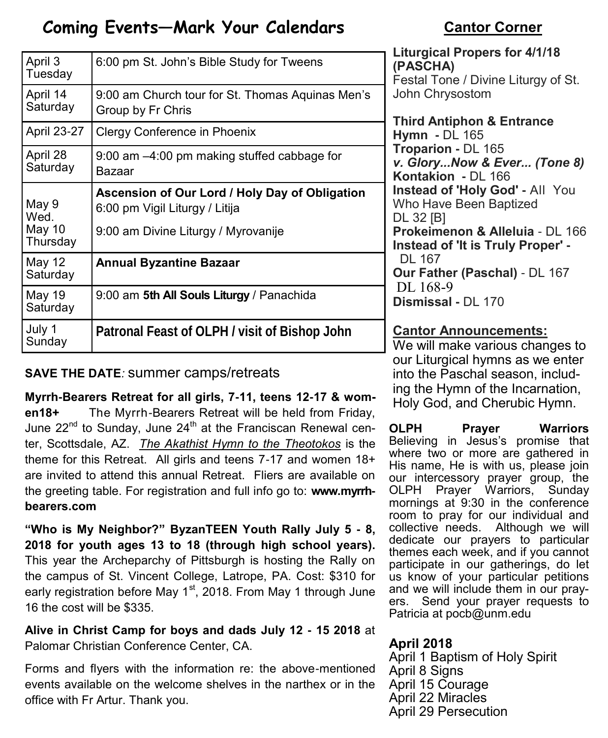# **Coming Events—Mark Your Calendars**

# **Cantor Corner**

| April 3<br>Tuesday                  | 6:00 pm St. John's Bible Study for Tweens                                                                               |  |
|-------------------------------------|-------------------------------------------------------------------------------------------------------------------------|--|
| April 14<br>Saturday                | 9:00 am Church tour for St. Thomas Aquinas Men's<br>Group by Fr Chris                                                   |  |
| <b>April 23-27</b>                  | Clergy Conference in Phoenix                                                                                            |  |
| April 28<br>Saturday                | $9:00$ am $-4:00$ pm making stuffed cabbage for<br>Bazaar                                                               |  |
| May 9<br>Wed.<br>May 10<br>Thursday | Ascension of Our Lord / Holy Day of Obligation<br>6:00 pm Vigil Liturgy / Litija<br>9:00 am Divine Liturgy / Myrovanije |  |
| May 12<br>Saturday                  | <b>Annual Byzantine Bazaar</b>                                                                                          |  |
| May 19<br>Saturday                  | 9:00 am 5th All Souls Liturgy / Panachida                                                                               |  |
| July 1<br>Sunday                    | Patronal Feast of OLPH / visit of Bishop John                                                                           |  |

## **SAVE THE DATE***:* summer camps/retreats

**Myrrh-Bearers Retreat for all girls, 7-11, teens 12-17 & women18+** The Myrrh-Bearers Retreat will be held from Friday, June  $22<sup>nd</sup>$  to Sunday, June  $24<sup>th</sup>$  at the Franciscan Renewal center, Scottsdale, AZ. *The Akathist Hymn to the Theotokos* is the theme for this Retreat. All girls and teens 7-17 and women 18+ are invited to attend this annual Retreat. Fliers are available on the greeting table. For registration and full info go to: **www.myrrhbearers.com**

**"Who is My Neighbor?" ByzanTEEN Youth Rally July 5 - 8, 2018 for youth ages 13 to 18 (through high school years).** This year the Archeparchy of Pittsburgh is hosting the Rally on the campus of St. Vincent College, Latrope, PA. Cost: \$310 for early registration before May  $1<sup>st</sup>$ , 2018. From May 1 through June 16 the cost will be \$335.

**Alive in Christ Camp for boys and dads July 12 - 15 2018** at Palomar Christian Conference Center, CA.

Forms and flyers with the information re: the above-mentioned events available on the welcome shelves in the narthex or in the office with Fr Artur. Thank you.

**Liturgical Propers for 4/1/18 (PASCHA)** Festal Tone / Divine Liturgy of St. John Chrysostom

**Third Antiphon & Entrance Hymn -** DL 165 **Troparion -** DL 165 *v. Glory...Now & Ever... (Tone 8)* **Kontakion -** DL 166 **Instead of 'Holy God' -** All You Who Have Been Baptized DL 32 [B] **Prokeimenon & Alleluia** - DL 166 **Instead of 'It is Truly Proper' -** DL 167 **Our Father (Paschal)** - DL 167 DL 168-9 **Dismissal -** DL 170

### **Cantor Announcements:**

We will make various changes to our Liturgical hymns as we enter into the Paschal season, including the Hymn of the Incarnation, Holy God, and Cherubic Hymn.

**OLPH Prayer Warriors**  Believing in Jesus's promise that where two or more are gathered in His name, He is with us, please join our intercessory prayer group, the OLPH Prayer Warriors, Sunday mornings at 9:30 in the conference room to pray for our individual and collective needs. Although we will dedicate our prayers to particular themes each week, and if you cannot participate in our gatherings, do let us know of your particular petitions and we will include them in our prayers. Send your prayer requests to Patricia at pocb@unm.edu

## **April 2018**

April 1 Baptism of Holy Spirit April 8 Signs April 15 Courage April 22 Miracles April 29 Persecution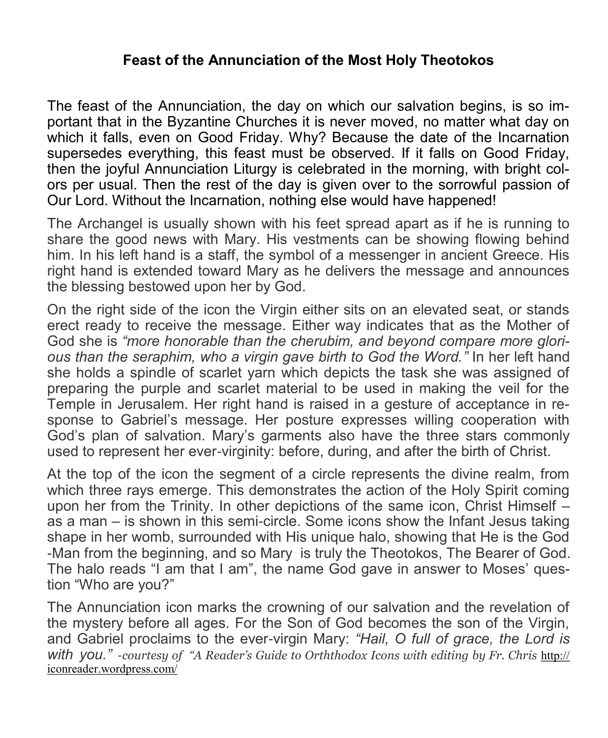# **Feast of the Annunciation of the Most Holy Theotokos**

The feast of the Annunciation, the day on which our salvation begins, is so important that in the Byzantine Churches it is never moved, no matter what day on which it falls, even on Good Friday. Why? Because the date of the Incarnation supersedes everything, this feast must be observed. If it falls on Good Friday, then the joyful Annunciation Liturgy is celebrated in the morning, with bright colors per usual. Then the rest of the day is given over to the sorrowful passion of Our Lord. Without the Incarnation, nothing else would have happened!

The Archangel is usually shown with his feet spread apart as if he is running to share the good news with Mary. His vestments can be showing flowing behind him. In his left hand is a staff, the symbol of a messenger in ancient Greece. His right hand is extended toward Mary as he delivers the message and announces the blessing bestowed upon her by God.

On the right side of the icon the Virgin either sits on an elevated seat, or stands erect ready to receive the message. Either way indicates that as the Mother of God she is *"more honorable than the cherubim, and beyond compare more glorious than the seraphim, who a virgin gave birth to God the Word."* In her left hand she holds a spindle of scarlet yarn which depicts the task she was assigned of preparing the purple and scarlet material to be used in making the veil for the Temple in Jerusalem. Her right hand is raised in a gesture of acceptance in response to Gabriel's message. Her posture expresses willing cooperation with God's plan of salvation. Mary's garments also have the three stars commonly used to represent her ever-virginity: before, during, and after the birth of Christ.

At the top of the icon the segment of a circle represents the divine realm, from which three rays emerge. This demonstrates the action of the Holy Spirit coming upon her from the Trinity. In other depictions of the same icon, Christ Himself – as a man – is shown in this semi-circle. Some icons show the Infant Jesus taking shape in her womb, surrounded with His unique halo, showing that He is the God -Man from the beginning, and so Mary is truly the Theotokos, The Bearer of God. The halo reads "I am that I am", the name God gave in answer to Moses' question "Who are you?"

The Annunciation icon marks the crowning of our salvation and the revelation of the mystery before all ages. For the Son of God becomes the son of the Virgin, and Gabriel proclaims to the ever-virgin Mary: *"Hail, O full of grace, the Lord is with you." -courtesy of "A Reader's Guide to Orththodox Icons with editing by Fr. Chris* [http://](http://iconreader.wordpress.com/) [iconreader.wordpress.com/](http://iconreader.wordpress.com/)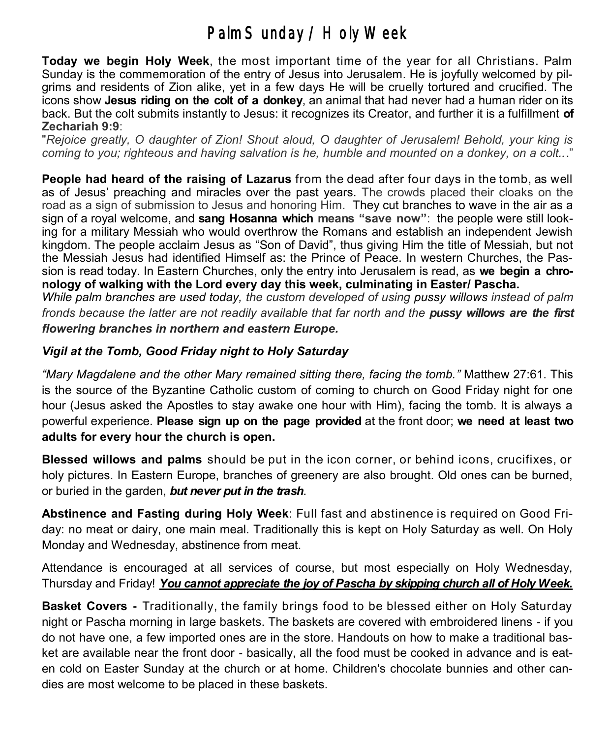# Palm Sunday / Holy Week

**Today we begin Holy Week**, the most important time of the year for all Christians. Palm Sunday is the commemoration of the entry of Jesus into Jerusalem. He is joyfully welcomed by pilgrims and residents of Zion alike, yet in a few days He will be cruelly tortured and crucified. The icons show **Jesus riding on the colt of a donkey**, an animal that had never had a human rider on its back. But the colt submits instantly to Jesus: it recognizes its Creator, and further it is a fulfillment **of Zechariah 9:9**:

"*Rejoice greatly, O daughter of Zion! Shout aloud, O daughter of Jerusalem! Behold, your king is coming to you; righteous and having salvation is he, humble and mounted on a donkey, on a colt..*."

**People had heard of the raising of Lazarus** from the dead after four days in the tomb, as well as of Jesus' preaching and miracles over the past years. The crowds placed their cloaks on the road as a sign of submission to Jesus and honoring Him. They cut branches to wave in the air as a sign of a royal welcome, and **sang Hosanna which means "save now"**: the people were still looking for a military Messiah who would overthrow the Romans and establish an independent Jewish kingdom. The people acclaim Jesus as "Son of David", thus giving Him the title of Messiah, but not the Messiah Jesus had identified Himself as: the Prince of Peace. In western Churches, the Passion is read today. In Eastern Churches, only the entry into Jerusalem is read, as **we begin a chronology of walking with the Lord every day this week, culminating in Easter/ Pascha.**

*While palm branches are used today, the custom developed of using [pussy willows](http://en.wikipedia.org/wiki/Pussy_willow) instead of palm fronds because the latter are not readily available that far north and the pussy willows are the first flowering branches in northern and eastern Europe.* 

### *Vigil at the Tomb, Good Friday night to Holy Saturday*

*"Mary Magdalene and the other Mary remained sitting there, facing the tomb."* Matthew 27:61. This is the source of the Byzantine Catholic custom of coming to church on Good Friday night for one hour (Jesus asked the Apostles to stay awake one hour with Him), facing the tomb. It is always a powerful experience. **Please sign up on the page provided** at the front door; **we need at least two adults for every hour the church is open.** 

**Blessed willows and palms** should be put in the icon corner, or behind icons, crucifixes, or holy pictures. In Eastern Europe, branches of greenery are also brought. Old ones can be burned, or buried in the garden, *but never put in the trash*.

**Abstinence and Fasting during Holy Week**: Full fast and abstinence is required on Good Friday: no meat or dairy, one main meal. Traditionally this is kept on Holy Saturday as well. On Holy Monday and Wednesday, abstinence from meat.

Attendance is encouraged at all services of course, but most especially on Holy Wednesday, Thursday and Friday! *You cannot appreciate the joy of Pascha by skipping church all of Holy Week.* 

**Basket Covers -** Traditionally, the family brings food to be blessed either on Holy Saturday night or Pascha morning in large baskets. The baskets are covered with embroidered linens - if you do not have one, a few imported ones are in the store. Handouts on how to make a traditional basket are available near the front door - basically, all the food must be cooked in advance and is eaten cold on Easter Sunday at the church or at home. Children's chocolate bunnies and other candies are most welcome to be placed in these baskets.